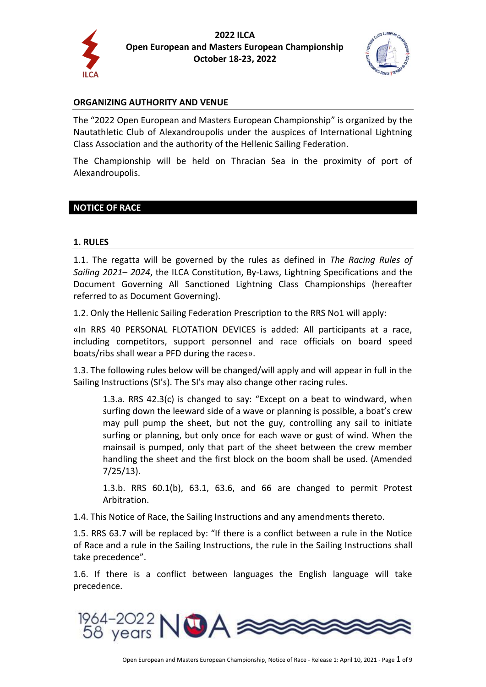



#### **ORGANIZING AUTHORITY AND VENUE**

The "2022 Open European and Masters European Championship" is organized by the Nautathletic Club of Alexandroupolis under the auspices of International Lightning Class Association and the authority of the Hellenic Sailing Federation.

The Championship will be held on Thracian Sea in the proximity of port of Alexandroupolis.

### **NOTICE OF RACE**

#### **1. RULES**

1.1. The regatta will be governed by the rules as defined in *The Racing Rules of Sailing 2021– 2024*, the ILCA Constitution, By-Laws, Lightning Specifications and the Document Governing All Sanctioned Lightning Class Championships (hereafter referred to as Document Governing).

1.2. Only the Hellenic Sailing Federation Prescription to the RRS No1 will apply:

«In RRS 40 PERSONAL FLOTATION DEVICES is added: All participants at a race, including competitors, support personnel and race officials on board speed boats/ribs shall wear a PFD during the races».

1.3. The following rules below will be changed/will apply and will appear in full in the Sailing Instructions (SI's). The SI's may also change other racing rules.

1.3.a. RRS 42.3(c) is changed to say: "Except on a beat to windward, when surfing down the leeward side of a wave or planning is possible, a boat's crew may pull pump the sheet, but not the guy, controlling any sail to initiate surfing or planning, but only once for each wave or gust of wind. When the mainsail is pumped, only that part of the sheet between the crew member handling the sheet and the first block on the boom shall be used. (Amended 7/25/13).

1.3.b. RRS 60.1(b), 63.1, 63.6, and 66 are changed to permit Protest Arbitration.

1.4. This Notice of Race, the Sailing Instructions and any amendments thereto.

1.5. RRS 63.7 will be replaced by: "If there is a conflict between a rule in the Notice of Race and a rule in the Sailing Instructions, the rule in the Sailing Instructions shall take precedence".

1.6. If there is a conflict between languages the English language will take precedence.

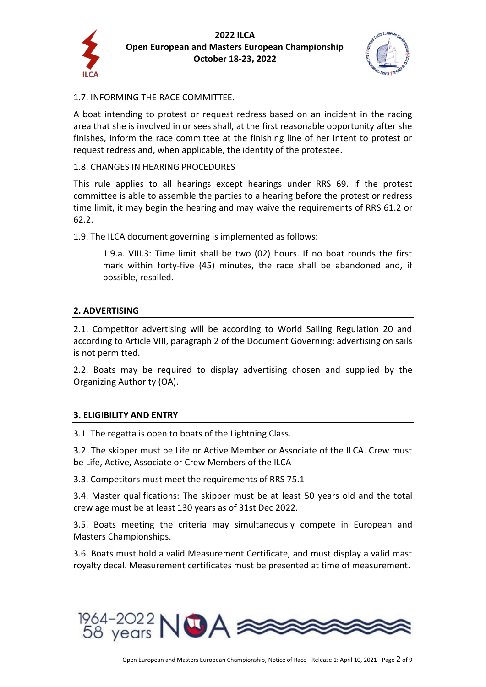



## 1.7. INFORMING THE RACE COMMITTEE.

A boat intending to protest or request redress based on an incident in the racing area that she is involved in or sees shall, at the first reasonable opportunity after she finishes, inform the race committee at the finishing line of her intent to protest or request redress and, when applicable, the identity of the protestee.

#### 1.8. CHANGES IN HEARING PROCEDURES

This rule applies to all hearings except hearings under RRS 69. If the protest committee is able to assemble the parties to a hearing before the protest or redress time limit, it may begin the hearing and may waive the requirements of RRS 61.2 or 62.2.

1.9. The ILCA document governing is implemented as follows:

1.9.a. VIII.3: Time limit shall be two (02) hours. If no boat rounds the first mark within forty-five (45) minutes, the race shall be abandoned and, if possible, resailed.

### **2. ADVERTISING**

2.1. Competitor advertising will be according to World Sailing Regulation 20 and according to Article VIII, paragraph 2 of the Document Governing; advertising on sails is not permitted.

2.2. Boats may be required to display advertising chosen and supplied by the Organizing Authority (OA).

#### **3. ELIGIBILITY AND ENTRY**

3.1. The regatta is open to boats of the Lightning Class.

3.2. The skipper must be Life or Active Member or Associate of the ILCA. Crew must be Life, Active, Associate or Crew Members of the ILCA

3.3. Competitors must meet the requirements of RRS 75.1

3.4. Master qualifications: The skipper must be at least 50 years old and the total crew age must be at least 130 years as of 31st Dec 2022.

3.5. Boats meeting the criteria may simultaneously compete in European and Masters Championships.

3.6. Boats must hold a valid Measurement Certificate, and must display a valid mast royalty decal. Measurement certificates must be presented at time of measurement.

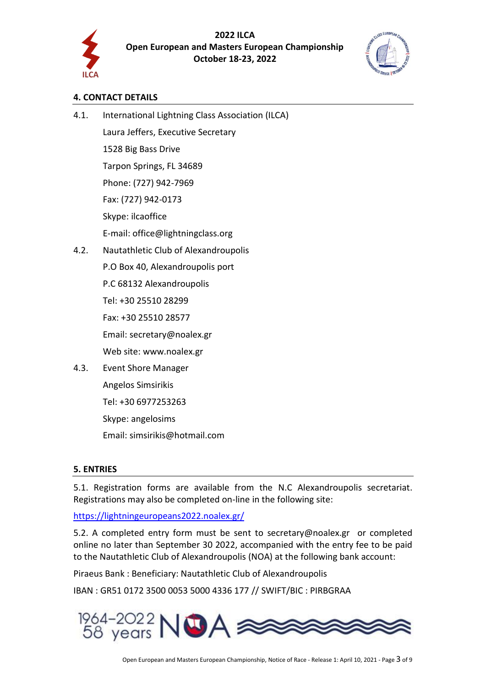

# **4. CONTACT DETAILS**

4.1. International Lightning Class Association (ILCA) Laura Jeffers, Executive Secretary 1528 Big Bass Drive Tarpon Springs, FL 34689 Phone: (727) 942-7969 Fax: (727) 942-0173

Skype: ilcaoffice

E-mail: office@lightningclass.org

4.2. Nautathletic Club of Alexandroupolis

P.O Box 40, Alexandroupolis port

P.C 68132 Alexandroupolis

Tel: +30 25510 28299

Fax: +30 25510 28577

Email: secretary@noalex.gr

Web site: [www.noalex.gr](http://www.noalex.gr/)

4.3. Event Shore Manager Angelos Simsirikis Tel: +30 6977253263 Skype: angelosims

Email: simsirikis@hotmail.com

# **5. ENTRIES**

5.1. Registration forms are available from the N.C Alexandroupolis secretariat. Registrations may also be completed on-line in the following site:

<https://lightningeuropeans2022.noalex.gr/>

5.2. A completed entry form must be sent to [secretary@noalex.gr](mailto:secretary@noalex.gr) or completed online no later than September 30 2022, accompanied with the entry fee to be paid to the Nautathletic Club of Alexandroupolis (NOA) at the following bank account:

Piraeus Bank : Beneficiary: Nautathletic Club of Alexandroupolis

IBAN : GR51 0172 3500 0053 5000 4336 177 // SWIFT/BIC : PIRBGRAA

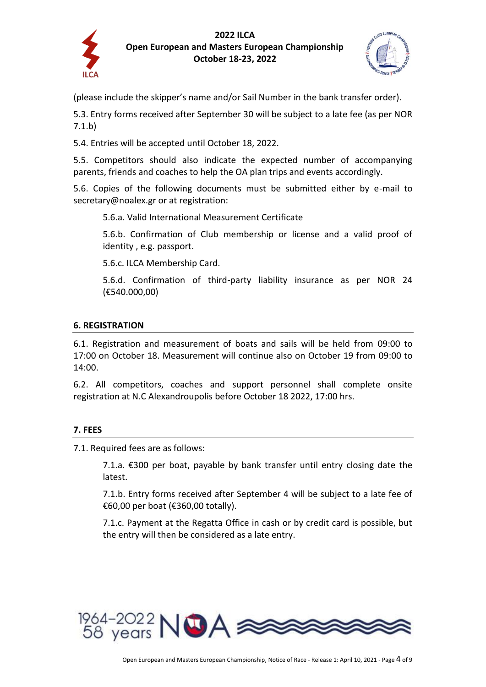



(please include the skipper's name and/or Sail Number in the bank transfer order).

5.3. Entry forms received after September 30 will be subject to a late fee (as per NOR 7.1.b)

5.4. Entries will be accepted until October 18, 2022.

5.5. Competitors should also indicate the expected number of accompanying parents, friends and coaches to help the OA plan trips and events accordingly.

5.6. Copies of the following documents must be submitted either by e-mail to [secretary@noalex.gr](mailto:secretary@noalex.gr) or at registration:

5.6.a. Valid International Measurement Certificate

5.6.b. Confirmation of Club membership or license and a valid proof of identity , e.g. passport.

5.6.c. ILCA Membership Card.

5.6.d. Confirmation of third-party liability insurance as per NOR 24 (€540.000,00)

### **6. REGISTRATION**

6.1. Registration and measurement of boats and sails will be held from 09:00 to 17:00 on October 18. Measurement will continue also on October 19 from 09:00 to 14:00.

6.2. All competitors, coaches and support personnel shall complete onsite registration at N.C Alexandroupolis before October 18 2022, 17:00 hrs.

# **7. FEES**

7.1. Required fees are as follows:

7.1.a. €300 per boat, payable by bank transfer until entry closing date the latest.

7.1.b. Entry forms received after September 4 will be subject to a late fee of €60,00 per boat (€360,00 totally).

7.1.c. Payment at the Regatta Office in cash or by credit card is possible, but the entry will then be considered as a late entry.

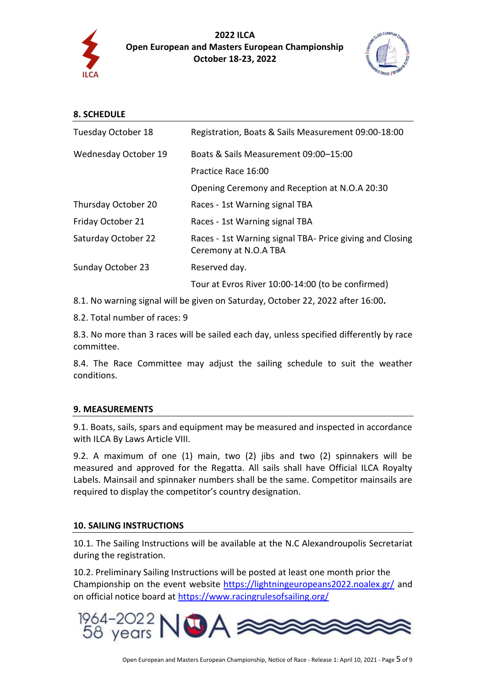

**2022 ILCA Open European and Masters European Championship October 18-23, 2022**



| <b>8. SCHEDULE</b> |  |
|--------------------|--|
|                    |  |

| Tuesday October 18   | Registration, Boats & Sails Measurement 09:00-18:00                               |
|----------------------|-----------------------------------------------------------------------------------|
| Wednesday October 19 | Boats & Sails Measurement 09:00-15:00                                             |
|                      | Practice Race 16:00                                                               |
|                      | Opening Ceremony and Reception at N.O.A 20:30                                     |
| Thursday October 20  | Races - 1st Warning signal TBA                                                    |
| Friday October 21    | Races - 1st Warning signal TBA                                                    |
| Saturday October 22  | Races - 1st Warning signal TBA- Price giving and Closing<br>Ceremony at N.O.A TBA |
| Sunday October 23    | Reserved day.                                                                     |
|                      | Tour at Evros River 10:00-14:00 (to be confirmed)                                 |

8.1. No warning signal will be given on Saturday, October 22, 2022 after 16:00**.**

8.2. Total number of races: 9

8.3. No more than 3 races will be sailed each day, unless specified differently by race committee.

8.4. The Race Committee may adjust the sailing schedule to suit the weather conditions.

# **9. MEASUREMENTS**

9.1. Boats, sails, spars and equipment may be measured and inspected in accordance with ILCA By Laws Article VIII.

9.2. A maximum of one (1) main, two (2) jibs and two (2) spinnakers will be measured and approved for the Regatta. All sails shall have Official ILCA Royalty Labels. Mainsail and spinnaker numbers shall be the same. Competitor mainsails are required to display the competitor's country designation.

#### **10. SAILING INSTRUCTIONS**

10.1. The Sailing Instructions will be available at the N.C Alexandroupolis Secretariat during the registration.

10.2. Preliminary Sailing Instructions will be posted at least one month prior the Championship on the event website<https://lightningeuropeans2022.noalex.gr/> and on official notice board at<https://www.racingrulesofsailing.org/>

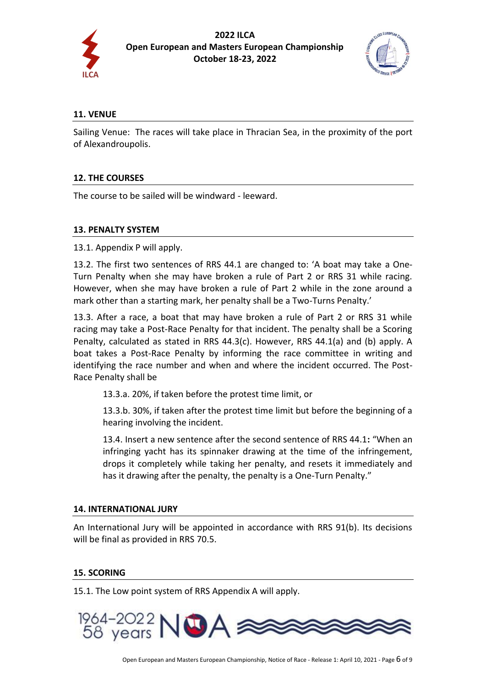



### **11. VENUE**

Sailing Venue: The races will take place in Thracian Sea, in the proximity of the port of Alexandroupolis.

## **12. THE COURSES**

The course to be sailed will be windward - leeward.

### **13. PENALTY SYSTEM**

13.1. Appendix P will apply.

13.2. The first two sentences of RRS 44.1 are changed to: 'A boat may take a One-Turn Penalty when she may have broken a rule of Part 2 or RRS 31 while racing. However, when she may have broken a rule of Part 2 while in the zone around a mark other than a starting mark, her penalty shall be a Two-Turns Penalty.'

13.3. After a race, a boat that may have broken a rule of Part 2 or RRS 31 while racing may take a Post-Race Penalty for that incident. The penalty shall be a Scoring Penalty, calculated as stated in RRS 44.3(c). However, RRS 44.1(a) and (b) apply. A boat takes a Post-Race Penalty by informing the race committee in writing and identifying the race number and when and where the incident occurred. The Post-Race Penalty shall be

13.3.a. 20%, if taken before the protest time limit, or

13.3.b. 30%, if taken after the protest time limit but before the beginning of a hearing involving the incident.

13.4. Insert a new sentence after the second sentence of RRS 44.1**:** "When an infringing yacht has its spinnaker drawing at the time of the infringement, drops it completely while taking her penalty, and resets it immediately and has it drawing after the penalty, the penalty is a One-Turn Penalty."

#### **14. INTERNATIONAL JURY**

An International Jury will be appointed in accordance with RRS 91(b). Its decisions will be final as provided in RRS 70.5.

#### **15. SCORING**

15.1. The Low point system of RRS Appendix A will apply.

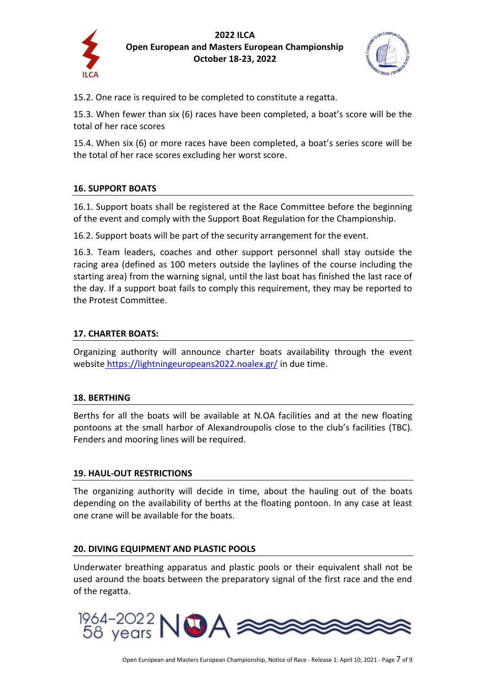



15.2. One race is required to be completed to constitute a regatta.

15.3. When fewer than six (6) races have been completed, a boat's score will be the total of her race scores

15.4. When six (6) or more races have been completed, a boat's series score will be the total of her race scores excluding her worst score.

# **16. SUPPORT BOATS**

16.1. Support boats shall be registered at the Race Committee before the beginning of the event and comply with the Support Boat Regulation for the Championship.

16.2. Support boats will be part of the security arrangement for the event.

16.3. Team leaders, coaches and other support personnel shall stay outside the racing area (defined as 100 meters outside the laylines of the course including the starting area) from the warning signal, until the last boat has finished the last race of the day. If a support boat fails to comply this requirement, they may be reported to the Protest Committee.

### **17. CHARTER BOATS:**

Organizing authority will announce charter boats availability through the event website <https://lightningeuropeans2022.noalex.gr/> in due time.

#### **18. BERTHING**

Berths for all the boats will be available at N.OA facilities and at the new floating pontoons at the small harbor of Alexandroupolis close to the club's facilities (TBC). Fenders and mooring lines will be required.

# **19. HAUL-OUT RESTRICTIONS**

The organizing authority will decide in time, about the hauling out of the boats depending on the availability of berths at the floating pontoon. In any case at least one crane will be available for the boats.

#### **20. DIVING EQUIPMENT AND PLASTIC POOLS**

Underwater breathing apparatus and plastic pools or their equivalent shall not be used around the boats between the preparatory signal of the first race and the end of the regatta.

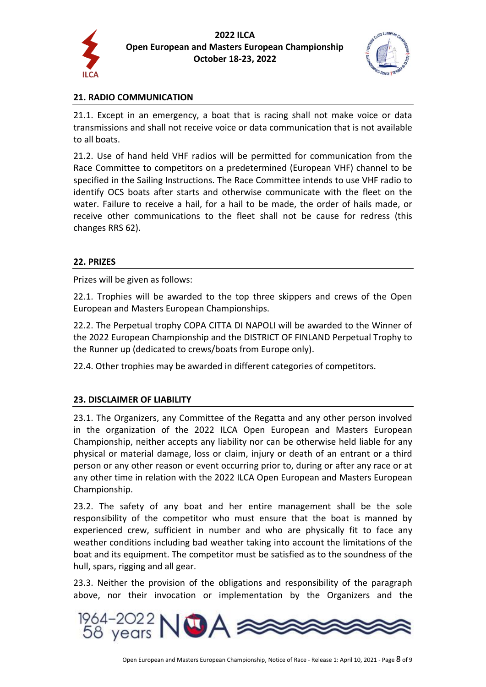



## **21. RADIO COMMUNICATION**

21.1. Except in an emergency, a boat that is racing shall not make voice or data transmissions and shall not receive voice or data communication that is not available to all boats.

21.2. Use of hand held VHF radios will be permitted for communication from the Race Committee to competitors on a predetermined (European VHF) channel to be specified in the Sailing Instructions. The Race Committee intends to use VHF radio to identify OCS boats after starts and otherwise communicate with the fleet on the water. Failure to receive a hail, for a hail to be made, the order of hails made, or receive other communications to the fleet shall not be cause for redress (this changes RRS 62).

#### **22. PRIZES**

Prizes will be given as follows:

22.1. Trophies will be awarded to the top three skippers and crews of the Open European and Masters European Championships.

22.2. The Perpetual trophy COPA CITTA DI NAPOLI will be awarded to the Winner of the 2022 European Championship and the DISTRICT OF FINLAND Perpetual Trophy to the Runner up (dedicated to crews/boats from Europe only).

22.4. Other trophies may be awarded in different categories of competitors.

#### **23. DISCLAIMER OF LIABILITY**

23.1. The Organizers, any Committee of the Regatta and any other person involved in the organization of the 2022 ILCA Open European and Masters European Championship, neither accepts any liability nor can be otherwise held liable for any physical or material damage, loss or claim, injury or death of an entrant or a third person or any other reason or event occurring prior to, during or after any race or at any other time in relation with the 2022 ILCA Open European and Masters European Championship.

23.2. The safety of any boat and her entire management shall be the sole responsibility of the competitor who must ensure that the boat is manned by experienced crew, sufficient in number and who are physically fit to face any weather conditions including bad weather taking into account the limitations of the boat and its equipment. The competitor must be satisfied as to the soundness of the hull, spars, rigging and all gear.

23.3. Neither the provision of the obligations and responsibility of the paragraph above, nor their invocation or implementation by the Organizers and the